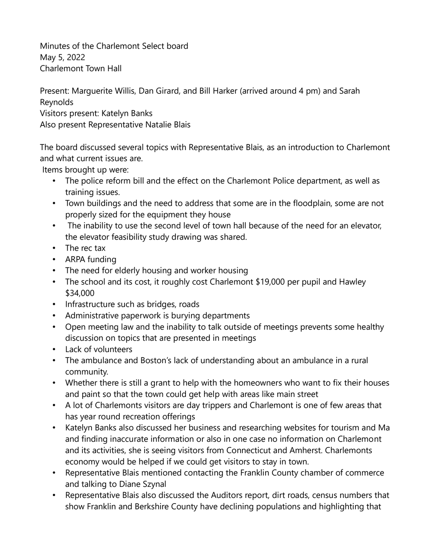Minutes of the Charlemont Select board May 5, 2022 Charlemont Town Hall

Present: Marguerite Willis, Dan Girard, and Bill Harker (arrived around 4 pm) and Sarah Reynolds

Visitors present: Katelyn Banks

Also present Representative Natalie Blais

The board discussed several topics with Representative Blais, as an introduction to Charlemont and what current issues are.

Items brought up were:

- The police reform bill and the effect on the Charlemont Police department, as well as training issues.
- Town buildings and the need to address that some are in the floodplain, some are not properly sized for the equipment they house
- The inability to use the second level of town hall because of the need for an elevator, the elevator feasibility study drawing was shared.
- The rec tax
- ARPA funding
- The need for elderly housing and worker housing
- The school and its cost, it roughly cost Charlemont \$19,000 per pupil and Hawley \$34,000
- Infrastructure such as bridges, roads
- Administrative paperwork is burying departments
- Open meeting law and the inability to talk outside of meetings prevents some healthy discussion on topics that are presented in meetings
- Lack of volunteers
- The ambulance and Boston's lack of understanding about an ambulance in a rural community.
- Whether there is still a grant to help with the homeowners who want to fix their houses and paint so that the town could get help with areas like main street
- A lot of Charlemonts visitors are day trippers and Charlemont is one of few areas that has year round recreation offerings
- Katelyn Banks also discussed her business and researching websites for tourism and Ma and finding inaccurate information or also in one case no information on Charlemont and its activities, she is seeing visitors from Connecticut and Amherst. Charlemonts economy would be helped if we could get visitors to stay in town.
- Representative Blais mentioned contacting the Franklin County chamber of commerce and talking to Diane Szynal
- Representative Blais also discussed the Auditors report, dirt roads, census numbers that show Franklin and Berkshire County have declining populations and highlighting that